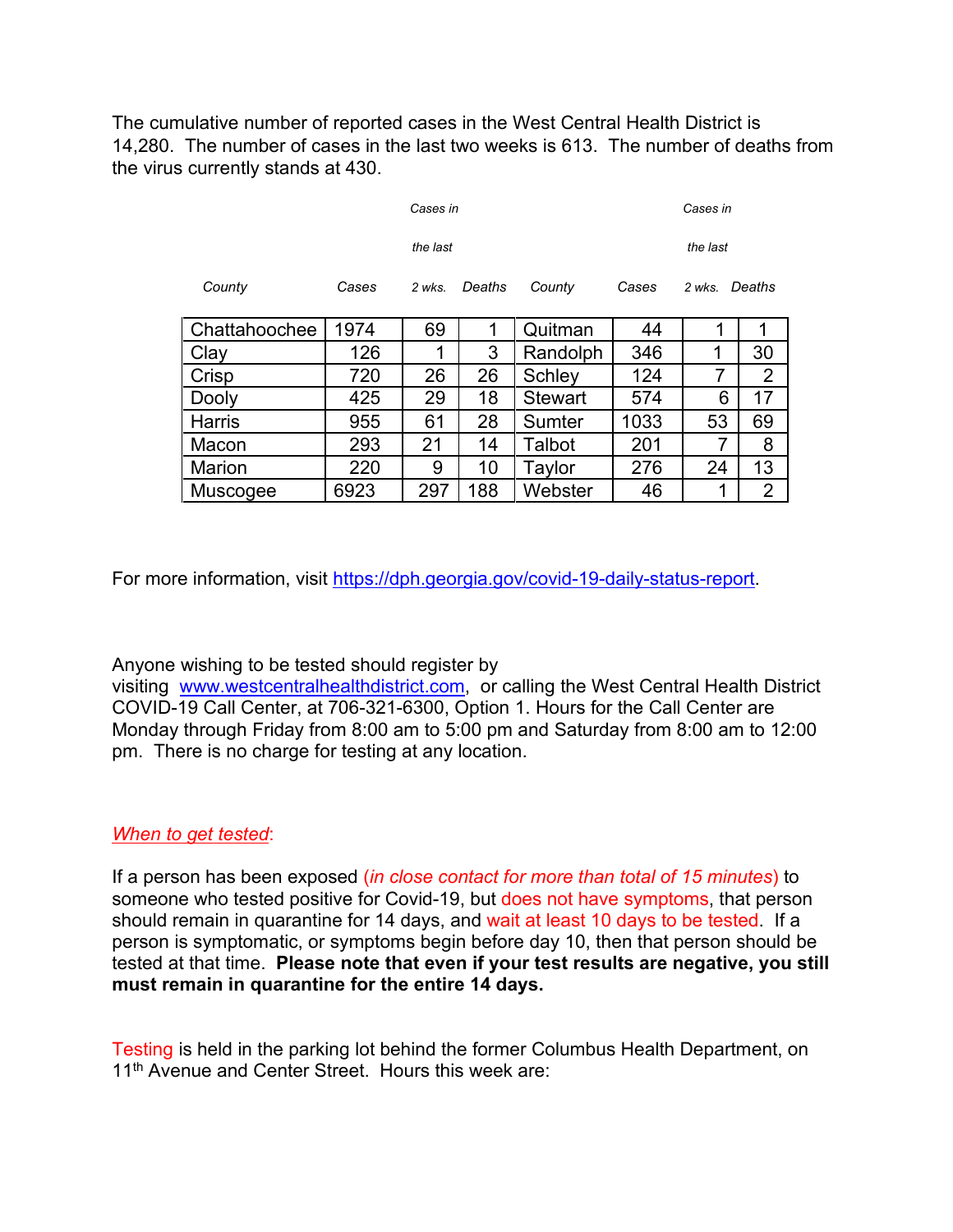The cumulative number of reported cases in the West Central Health District is 14,280. The number of cases in the last two weeks is 613. The number of deaths from the virus currently stands at 430.

| Cases in      |       |        |        |                | Cases in |               |    |
|---------------|-------|--------|--------|----------------|----------|---------------|----|
| the last      |       |        |        |                | the last |               |    |
| County        | Cases | 2 wks. | Deaths | County         | Cases    | 2 wks. Deaths |    |
| Chattahoochee | 1974  | 69     | 1      | Quitman        | 44       | 1             | 1  |
| Clav          | 126   | 1      | 3      | Randolph       | 346      |               | 30 |
| Crisp         | 720   | 26     | 26     | Schley         | 124      | 7             | 2  |
| Dooly         | 425   | 29     | 18     | <b>Stewart</b> | 574      | 6             | 17 |
| <b>Harris</b> | 955   | 61     | 28     | Sumter         | 1033     | 53            | 69 |
| Macon         | 293   | 21     | 14     | Talbot         | 201      | 7             | 8  |
| Marion        | 220   | 9      | 10     | Taylor         | 276      | 24            | 13 |
| Muscogee      | 6923  | 297    | 188    | Webster        | 46       |               | 2  |

For more information, visit [https://dph.georgia.gov/covid-19-daily-status-report.](https://gcc01.safelinks.protection.outlook.com/?url=https%3A%2F%2Fdph.georgia.gov%2Fcovid-19-daily-status-report&data=04%7C01%7CMatt.Miller%40dph.ga.gov%7C9c5690e6d91a4b6287ec08d8957694d4%7C512da10d071b4b948abc9ec4044d1516%7C0%7C0%7C637423683895013577%7CUnknown%7CTWFpbGZsb3d8eyJWIjoiMC4wLjAwMDAiLCJQIjoiV2luMzIiLCJBTiI6Ik1haWwiLCJXVCI6Mn0%3D%7C1000&sdata=%2FTLMD%2B2VNdZhaiax%2F97WQINLTNDDDtHdyQf24prv1QY%3D&reserved=0)

Anyone wishing to be tested should register by

visiting [www.westcentralhealthdistrict.com,](http://www.westcentralhealthdistrict.com/) or calling the West Central Health District COVID-19 Call Center, at 706-321-6300, Option 1. Hours for the Call Center are Monday through Friday from 8:00 am to 5:00 pm and Saturday from 8:00 am to 12:00 pm. There is no charge for testing at any location.

## *When to get tested*:

If a person has been exposed (*in close contact for more than total of 15 minutes*) to someone who tested positive for Covid-19, but does not have symptoms, that person should remain in quarantine for 14 days, and wait at least 10 days to be tested. If a person is symptomatic, or symptoms begin before day 10, then that person should be tested at that time. **Please note that even if your test results are negative, you still must remain in quarantine for the entire 14 days.**

Testing is held in the parking lot behind the former Columbus Health Department, on 11<sup>th</sup> Avenue and Center Street. Hours this week are: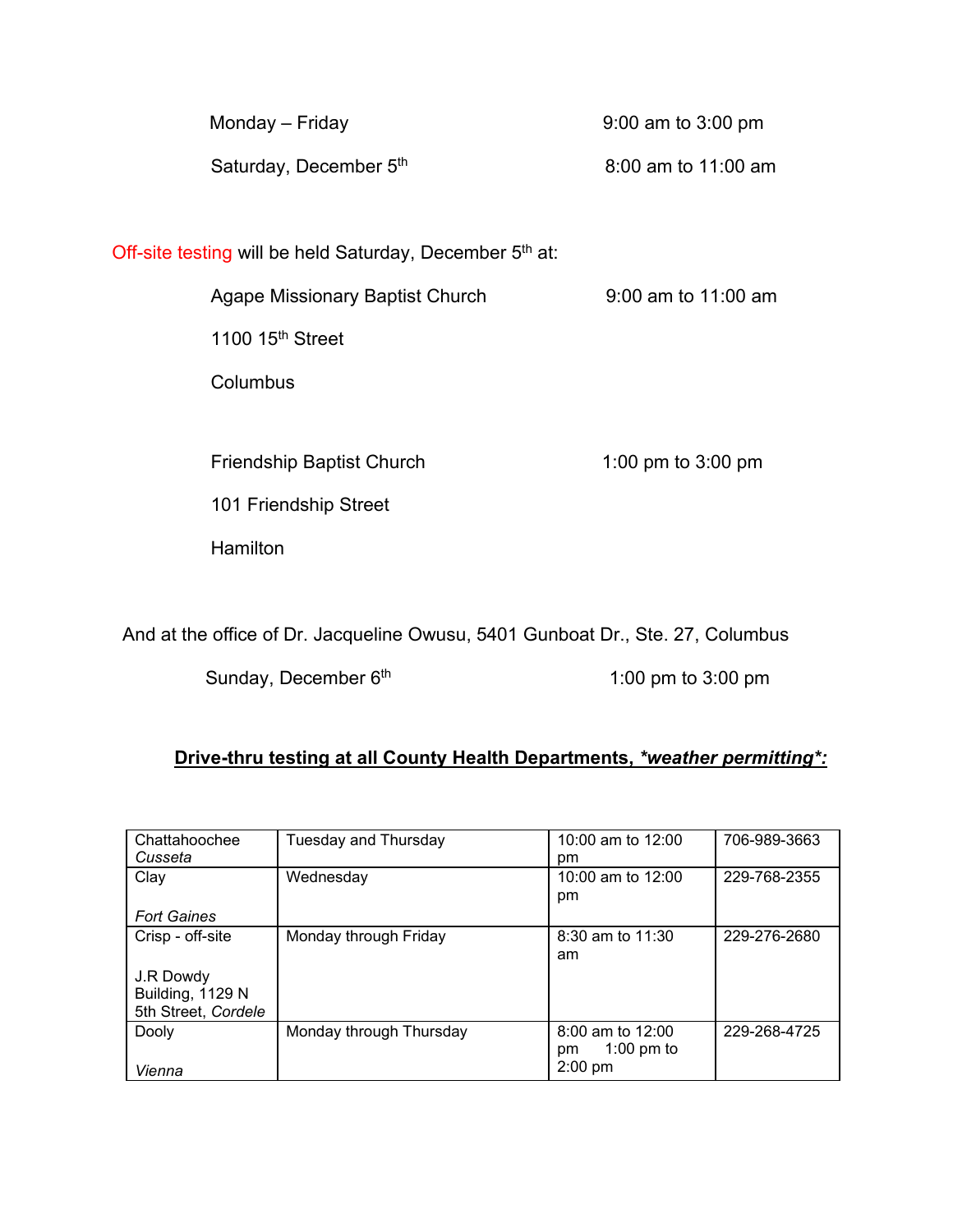| Monday – Friday                                          | 9:00 am to 3:00 pm  |  |  |  |  |
|----------------------------------------------------------|---------------------|--|--|--|--|
| Saturday, December 5th                                   | 8:00 am to 11:00 am |  |  |  |  |
|                                                          |                     |  |  |  |  |
| Off-site testing will be held Saturday, December 5th at: |                     |  |  |  |  |
| <b>Agape Missionary Baptist Church</b>                   | 9:00 am to 11:00 am |  |  |  |  |
| 1100 $15th$ Street                                       |                     |  |  |  |  |
| Columbus                                                 |                     |  |  |  |  |
|                                                          |                     |  |  |  |  |
| <b>Friendship Baptist Church</b>                         | 1:00 pm to 3:00 pm  |  |  |  |  |
| 101 Friendship Street                                    |                     |  |  |  |  |
| Hamilton                                                 |                     |  |  |  |  |
|                                                          |                     |  |  |  |  |

And at the office of Dr. Jacqueline Owusu, 5401 Gunboat Dr., Ste. 27, Columbus

Sunday, December 6<sup>th</sup> 1:00 pm to 3:00 pm

## **Drive-thru testing at all County Health Departments,** *\*weather permitting\*:*

| Chattahoochee       | Tuesday and Thursday    | 10:00 am to $12:00$  | 706-989-3663 |
|---------------------|-------------------------|----------------------|--------------|
| Cusseta             |                         | pm.                  |              |
| Clay                | Wednesday               | 10:00 am to 12:00    | 229-768-2355 |
|                     |                         | pm                   |              |
| <b>Fort Gaines</b>  |                         |                      |              |
| Crisp - off-site    | Monday through Friday   | $8:30$ am to $11:30$ | 229-276-2680 |
|                     |                         | am                   |              |
| J.R Dowdy           |                         |                      |              |
| Building, 1129 N    |                         |                      |              |
| 5th Street, Cordele |                         |                      |              |
| Dooly               | Monday through Thursday | 8:00 am to 12:00     | 229-268-4725 |
|                     |                         | 1:00 pm to<br>pm     |              |
| Vienna              |                         | $2:00$ pm            |              |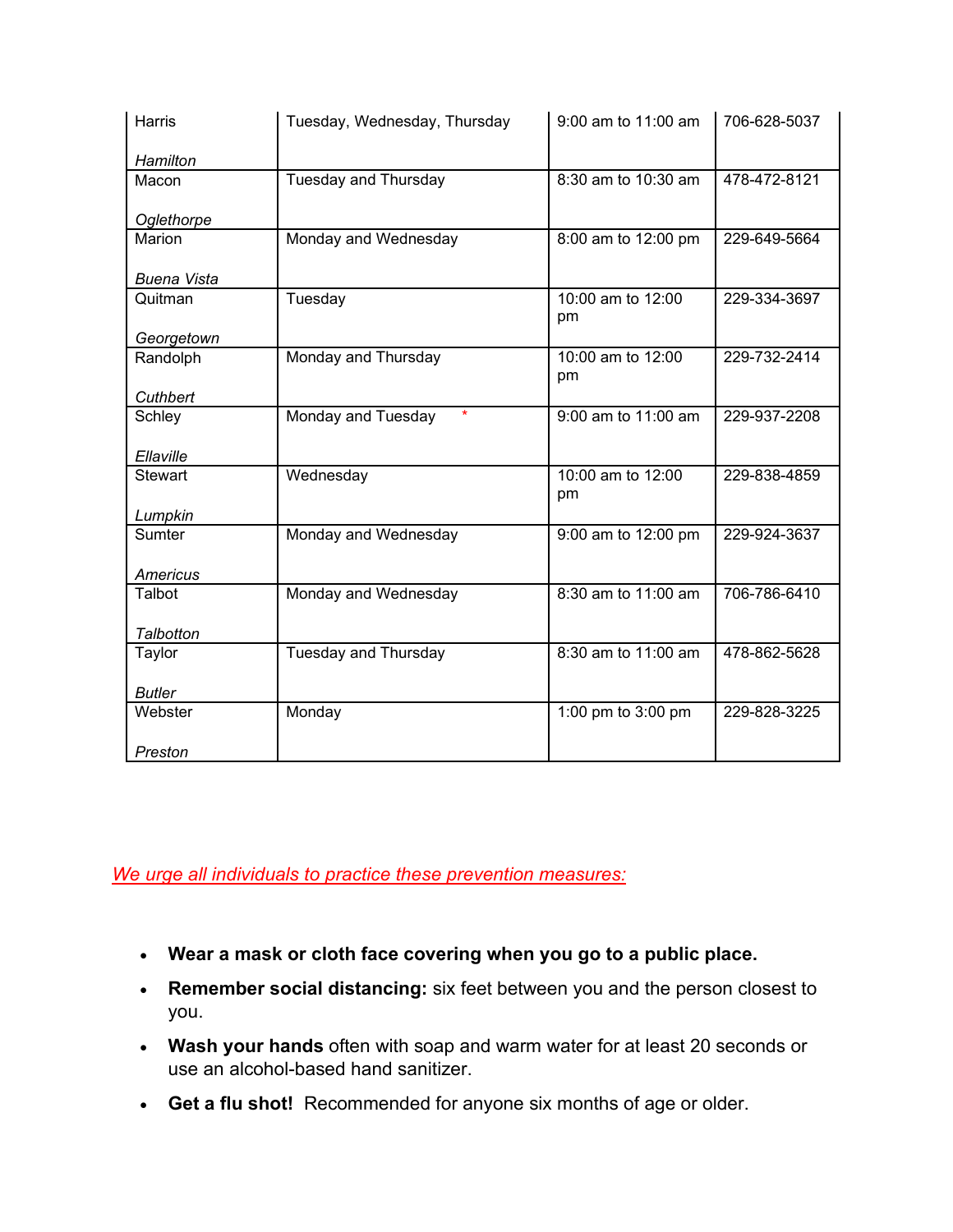| <b>Harris</b>      | Tuesday, Wednesday, Thursday  | 9:00 am to 11:00 am     | 706-628-5037 |
|--------------------|-------------------------------|-------------------------|--------------|
| Hamilton           |                               |                         |              |
| Macon              | <b>Tuesday and Thursday</b>   | 8:30 am to 10:30 am     | 478-472-8121 |
| Oglethorpe         |                               |                         |              |
| Marion             | Monday and Wednesday          | 8:00 am to 12:00 pm     | 229-649-5664 |
|                    |                               |                         |              |
| <b>Buena Vista</b> |                               |                         |              |
| Quitman            | Tuesday                       | 10:00 am to 12:00<br>pm | 229-334-3697 |
| Georgetown         |                               |                         |              |
| Randolph           | Monday and Thursday           | 10:00 am to 12:00<br>pm | 229-732-2414 |
| Cuthbert           |                               |                         |              |
| Schley             | $\star$<br>Monday and Tuesday | 9:00 am to 11:00 am     | 229-937-2208 |
| Ellaville          |                               |                         |              |
| <b>Stewart</b>     | Wednesday                     | 10:00 am to 12:00<br>pm | 229-838-4859 |
| Lumpkin            |                               |                         |              |
| Sumter             | Monday and Wednesday          | 9:00 am to 12:00 pm     | 229-924-3637 |
| Americus           |                               |                         |              |
| Talbot             | Monday and Wednesday          | 8:30 am to 11:00 am     | 706-786-6410 |
| Talbotton          |                               |                         |              |
| Taylor             | <b>Tuesday and Thursday</b>   | 8:30 am to 11:00 am     | 478-862-5628 |
| <b>Butler</b>      |                               |                         |              |
| Webster            | Monday                        | 1:00 pm to 3:00 pm      | 229-828-3225 |
|                    |                               |                         |              |
| Preston            |                               |                         |              |

## *We urge all individuals to practice these prevention measures:*

- **Wear a mask or cloth face covering when you go to a public place.**
- **Remember social distancing:** six feet between you and the person closest to you.
- **Wash your hands** often with soap and warm water for at least 20 seconds or use an alcohol-based hand sanitizer.
- **Get a flu shot!** Recommended for anyone six months of age or older.